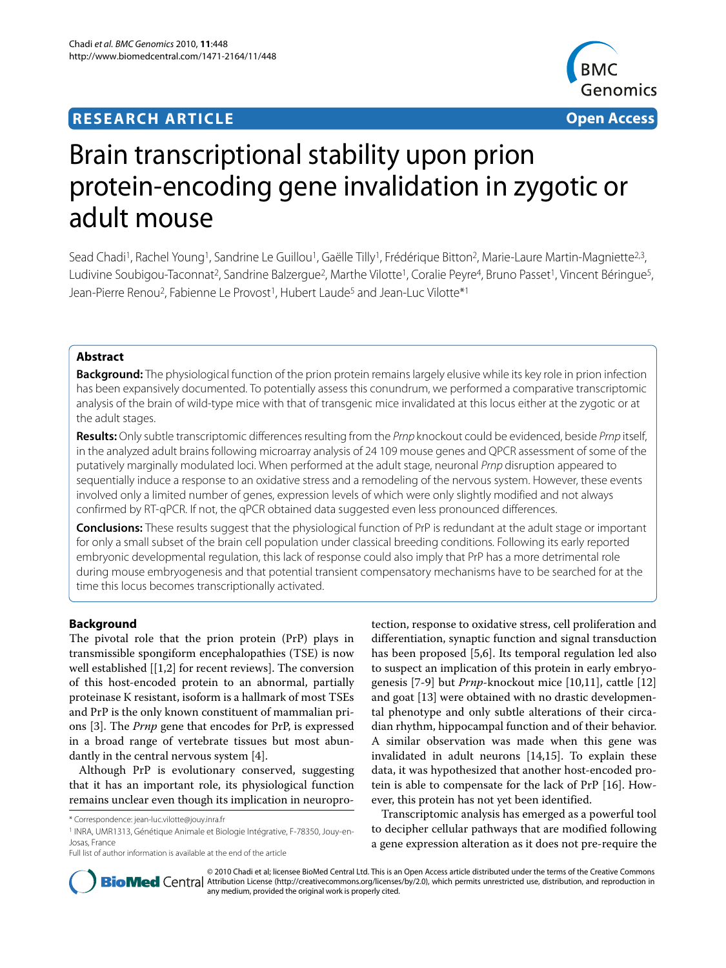# **RESEARCH ARTICLE Open Access**



# Brain transcriptional stability upon prion protein-encoding gene invalidation in zygotic or adult mouse

Sead Chadi<sup>1</sup>, Rachel Young<sup>1</sup>, Sandrine Le Guillou<sup>1</sup>, Gaëlle Tilly<sup>1</sup>, Frédérique Bitton<sup>2</sup>, Marie-Laure Martin-Magniette<sup>2,3</sup>, Ludivine Soubigou-Taconnat<sup>2</sup>, Sandrine Balzergue<sup>2</sup>, Marthe Vilotte<sup>1</sup>, Coralie Peyre<sup>4</sup>, Bruno Passet<sup>1</sup>, Vincent Béringue<sup>5</sup>, Jean-Pierre Renou<sup>2</sup>, Fabienne Le Provost<sup>1</sup>, Hubert Laude<sup>5</sup> and Jean-Luc Vilotte<sup>\*1</sup>

# **Abstract**

**Background:** The physiological function of the prion protein remains largely elusive while its key role in prion infection has been expansively documented. To potentially assess this conundrum, we performed a comparative transcriptomic analysis of the brain of wild-type mice with that of transgenic mice invalidated at this locus either at the zygotic or at the adult stages.

**Results:** Only subtle transcriptomic differences resulting from the Prnp knockout could be evidenced, beside Prnp itself, in the analyzed adult brains following microarray analysis of 24 109 mouse genes and QPCR assessment of some of the putatively marginally modulated loci. When performed at the adult stage, neuronal Prnp disruption appeared to sequentially induce a response to an oxidative stress and a remodeling of the nervous system. However, these events involved only a limited number of genes, expression levels of which were only slightly modified and not always confirmed by RT-qPCR. If not, the qPCR obtained data suggested even less pronounced differences.

**Conclusions:** These results suggest that the physiological function of PrP is redundant at the adult stage or important for only a small subset of the brain cell population under classical breeding conditions. Following its early reported embryonic developmental regulation, this lack of response could also imply that PrP has a more detrimental role during mouse embryogenesis and that potential transient compensatory mechanisms have to be searched for at the time this locus becomes transcriptionally activated.

# **Background**

The pivotal role that the prion protein (PrP) plays in transmissible spongiform encephalopathies (TSE) is now well established [[\[1](#page-8-0)[,2](#page-8-1)] for recent reviews]. The conversion of this host-encoded protein to an abnormal, partially proteinase K resistant, isoform is a hallmark of most TSEs and PrP is the only known constituent of mammalian prions [[3\]](#page-8-2). The Prnp gene that encodes for PrP, is expressed in a broad range of vertebrate tissues but most abundantly in the central nervous system [\[4](#page-8-3)].

Although PrP is evolutionary conserved, suggesting that it has an important role, its physiological function remains unclear even though its implication in neuroprotection, response to oxidative stress, cell proliferation and differentiation, synaptic function and signal transduction has been proposed [[5,](#page-8-4)[6\]](#page-8-5). Its temporal regulation led also to suspect an implication of this protein in early embryogenesis [\[7](#page-8-6)-[9\]](#page-8-7) but Prnp-knockout mice [\[10,](#page-8-8)[11\]](#page-8-9), cattle [[12](#page-8-10)] and goat [\[13](#page-8-11)] were obtained with no drastic developmental phenotype and only subtle alterations of their circadian rhythm, hippocampal function and of their behavior. A similar observation was made when this gene was invalidated in adult neurons [[14,](#page-8-12)[15\]](#page-8-13). To explain these data, it was hypothesized that another host-encoded protein is able to compensate for the lack of PrP [\[16](#page-8-14)]. However, this protein has not yet been identified.

Transcriptomic analysis has emerged as a powerful tool to decipher cellular pathways that are modified following a gene expression alteration as it does not pre-require the



© 2010 Chadi et al; licensee BioMed Central Ltd. This is an Open Access article distributed under the terms of the Creative Commons **BioMed** Central Attribution License (http://creativecommons.org/licenses/by/2.0), which permits unrestricted use, distribution, and reproduction in any medium, provided the original work is properly cited.

<sup>\*</sup> Correspondence: jean-luc.vilotte@jouy.inra.fr

<sup>1</sup> INRA, UMR1313, Génétique Animale et Biologie Intégrative, F-78350, Jouy-en-Josas, France

Full list of author information is available at the end of the article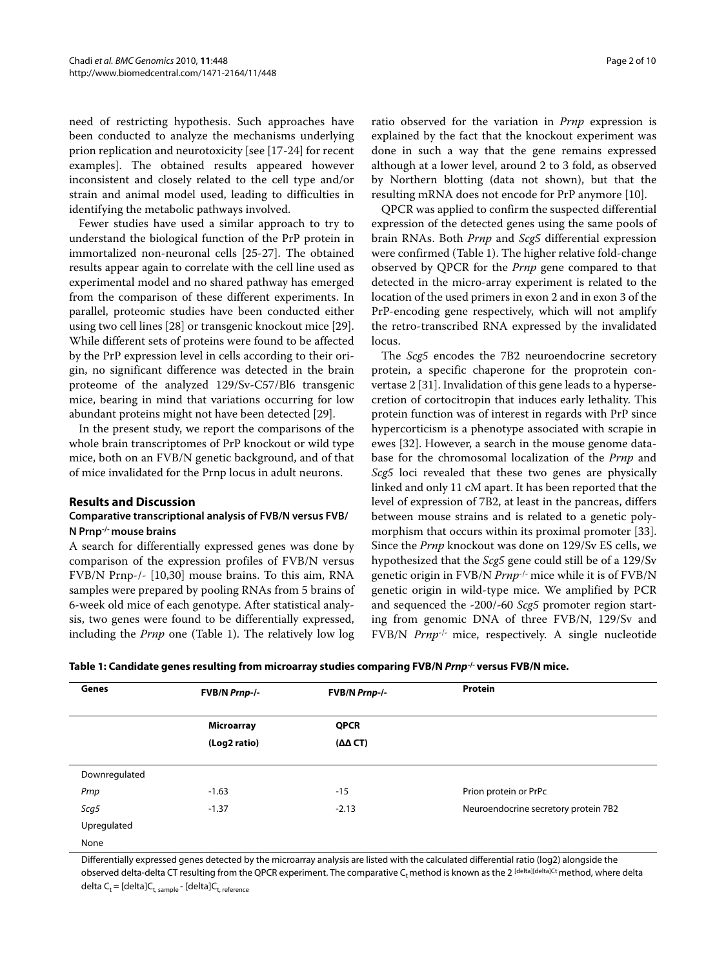need of restricting hypothesis. Such approaches have been conducted to analyze the mechanisms underlying prion replication and neurotoxicity [see [\[17](#page-8-15)-[24\]](#page-8-16) for recent examples]. The obtained results appeared however inconsistent and closely related to the cell type and/or strain and animal model used, leading to difficulties in identifying the metabolic pathways involved.

Fewer studies have used a similar approach to try to understand the biological function of the PrP protein in immortalized non-neuronal cells [\[25](#page-8-17)-[27\]](#page-8-18). The obtained results appear again to correlate with the cell line used as experimental model and no shared pathway has emerged from the comparison of these different experiments. In parallel, proteomic studies have been conducted either using two cell lines [[28](#page-8-19)] or transgenic knockout mice [\[29](#page-9-0)]. While different sets of proteins were found to be affected by the PrP expression level in cells according to their origin, no significant difference was detected in the brain proteome of the analyzed 129/Sv-C57/Bl6 transgenic mice, bearing in mind that variations occurring for low abundant proteins might not have been detected [[29\]](#page-9-0).

In the present study, we report the comparisons of the whole brain transcriptomes of PrP knockout or wild type mice, both on an FVB/N genetic background, and of that of mice invalidated for the Prnp locus in adult neurons.

## **Results and Discussion**

#### **Comparative transcriptional analysis of FVB/N versus FVB/ N Prnp-/- mouse brains**

A search for differentially expressed genes was done by comparison of the expression profiles of FVB/N versus FVB/N Prnp-/- [[10](#page-8-8),[30\]](#page-9-1) mouse brains. To this aim, RNA samples were prepared by pooling RNAs from 5 brains of 6-week old mice of each genotype. After statistical analysis, two genes were found to be differentially expressed, including the Prnp one (Table 1). The relatively low log

ratio observed for the variation in Prnp expression is explained by the fact that the knockout experiment was done in such a way that the gene remains expressed although at a lower level, around 2 to 3 fold, as observed by Northern blotting (data not shown), but that the resulting mRNA does not encode for PrP anymore [[10](#page-8-8)].

QPCR was applied to confirm the suspected differential expression of the detected genes using the same pools of brain RNAs. Both Prnp and Scg5 differential expression were confirmed (Table 1). The higher relative fold-change observed by QPCR for the Prnp gene compared to that detected in the micro-array experiment is related to the location of the used primers in exon 2 and in exon 3 of the PrP-encoding gene respectively, which will not amplify the retro-transcribed RNA expressed by the invalidated locus.

The Scg5 encodes the 7B2 neuroendocrine secretory protein, a specific chaperone for the proprotein convertase 2 [\[31\]](#page-9-2). Invalidation of this gene leads to a hypersecretion of cortocitropin that induces early lethality. This protein function was of interest in regards with PrP since hypercorticism is a phenotype associated with scrapie in ewes [[32](#page-9-3)]. However, a search in the mouse genome database for the chromosomal localization of the Prnp and Scg5 loci revealed that these two genes are physically linked and only 11 cM apart. It has been reported that the level of expression of 7B2, at least in the pancreas, differs between mouse strains and is related to a genetic polymorphism that occurs within its proximal promoter [\[33](#page-9-4)]. Since the Prnp knockout was done on 129/Sv ES cells, we hypothesized that the Scg5 gene could still be of a 129/Sv genetic origin in FVB/N Prnp-/- mice while it is of FVB/N genetic origin in wild-type mice. We amplified by PCR and sequenced the -200/-60 Scg5 promoter region starting from genomic DNA of three FVB/N, 129/Sv and FVB/N Prnp-/- mice, respectively. A single nucleotide

**Table 1: Candidate genes resulting from microarray studies comparing FVB/N** *Prnp***-/- versus FVB/N mice.**

| Genes         | <b>FVB/N Prnp-/-</b> | FVB/N Prnp-/- | Protein                              |
|---------------|----------------------|---------------|--------------------------------------|
|               | <b>Microarray</b>    | <b>QPCR</b>   |                                      |
|               | (Log2 ratio)         | (ΔΔ CT)       |                                      |
| Downregulated |                      |               |                                      |
| Prnp          | $-1.63$              | $-15$         | Prion protein or PrPc                |
| Scg5          | $-1.37$              | $-2.13$       | Neuroendocrine secretory protein 7B2 |
| Upregulated   |                      |               |                                      |
| None          |                      |               |                                      |

Differentially expressed genes detected by the microarray analysis are listed with the calculated differential ratio (log2) alongside the observed delta-delta CT resulting from the QPCR experiment. The comparative  $C_t$  method is known as the 2 [delta][delta]Ct method, where delta delta  $C_t = [delta]C_{t, sample}$  - [delta] $C_{t, reference}$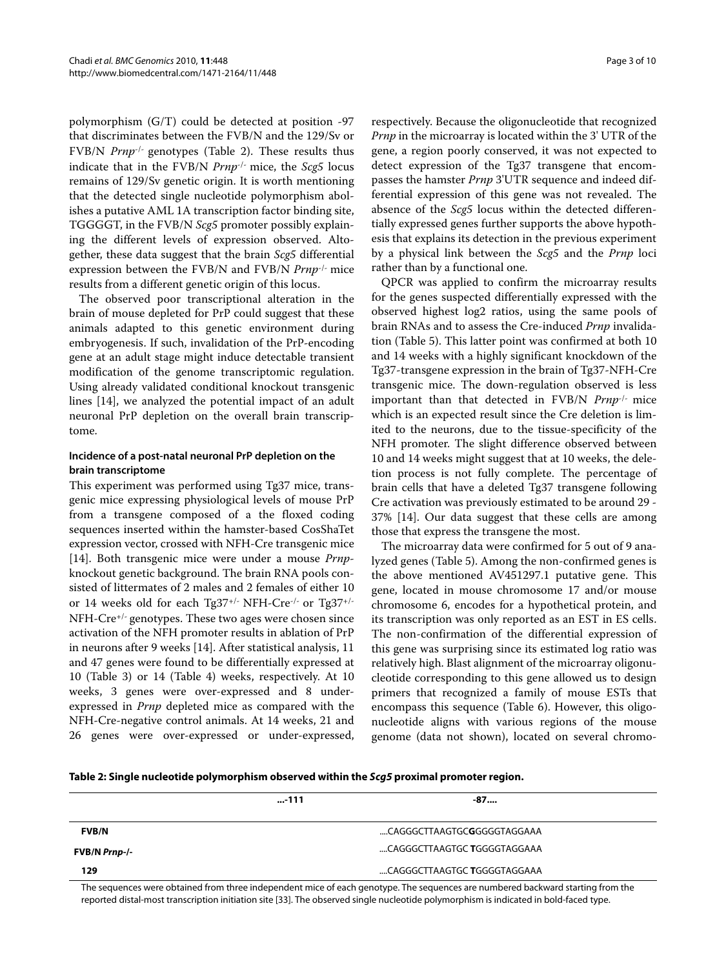polymorphism (G/T) could be detected at position -97 that discriminates between the FVB/N and the 129/Sv or FVB/N Prnp-/- genotypes (Table 2). These results thus indicate that in the FVB/N Prnp-/- mice, the Scg5 locus remains of 129/Sv genetic origin. It is worth mentioning that the detected single nucleotide polymorphism abolishes a putative AML 1A transcription factor binding site, TGGGGT, in the FVB/N Scg5 promoter possibly explaining the different levels of expression observed. Altogether, these data suggest that the brain Scg5 differential expression between the FVB/N and FVB/N Prnp-/- mice results from a different genetic origin of this locus.

The observed poor transcriptional alteration in the brain of mouse depleted for PrP could suggest that these animals adapted to this genetic environment during embryogenesis. If such, invalidation of the PrP-encoding gene at an adult stage might induce detectable transient modification of the genome transcriptomic regulation. Using already validated conditional knockout transgenic lines [\[14](#page-8-12)], we analyzed the potential impact of an adult neuronal PrP depletion on the overall brain transcriptome.

# **Incidence of a post-natal neuronal PrP depletion on the brain transcriptome**

This experiment was performed using Tg37 mice, transgenic mice expressing physiological levels of mouse PrP from a transgene composed of a the floxed coding sequences inserted within the hamster-based CosShaTet expression vector, crossed with NFH-Cre transgenic mice [[14\]](#page-8-12). Both transgenic mice were under a mouse Prnpknockout genetic background. The brain RNA pools consisted of littermates of 2 males and 2 females of either 10 or 14 weeks old for each Tg37+/- NFH-Cre-/- or Tg37+/- NFH-Cre+/- genotypes. These two ages were chosen since activation of the NFH promoter results in ablation of PrP in neurons after 9 weeks [[14\]](#page-8-12). After statistical analysis, 11 and 47 genes were found to be differentially expressed at 10 (Table 3) or 14 (Table 4) weeks, respectively. At 10 weeks, 3 genes were over-expressed and 8 underexpressed in Prnp depleted mice as compared with the NFH-Cre-negative control animals. At 14 weeks, 21 and 26 genes were over-expressed or under-expressed,

respectively. Because the oligonucleotide that recognized Prnp in the microarray is located within the 3' UTR of the gene, a region poorly conserved, it was not expected to detect expression of the Tg37 transgene that encompasses the hamster Prnp 3'UTR sequence and indeed differential expression of this gene was not revealed. The absence of the Scg5 locus within the detected differentially expressed genes further supports the above hypothesis that explains its detection in the previous experiment by a physical link between the Scg5 and the Prnp loci rather than by a functional one.

QPCR was applied to confirm the microarray results for the genes suspected differentially expressed with the observed highest log2 ratios, using the same pools of brain RNAs and to assess the Cre-induced Prnp invalidation (Table 5). This latter point was confirmed at both 10 and 14 weeks with a highly significant knockdown of the Tg37-transgene expression in the brain of Tg37-NFH-Cre transgenic mice. The down-regulation observed is less important than that detected in FVB/N Prnp<sup>-/-</sup> mice which is an expected result since the Cre deletion is limited to the neurons, due to the tissue-specificity of the NFH promoter. The slight difference observed between 10 and 14 weeks might suggest that at 10 weeks, the deletion process is not fully complete. The percentage of brain cells that have a deleted Tg37 transgene following Cre activation was previously estimated to be around 29 - 37% [[14\]](#page-8-12). Our data suggest that these cells are among those that express the transgene the most.

The microarray data were confirmed for 5 out of 9 analyzed genes (Table 5). Among the non-confirmed genes is the above mentioned AV451297.1 putative gene. This gene, located in mouse chromosome 17 and/or mouse chromosome 6, encodes for a hypothetical protein, and its transcription was only reported as an EST in ES cells. The non-confirmation of the differential expression of this gene was surprising since its estimated log ratio was relatively high. Blast alignment of the microarray oligonucleotide corresponding to this gene allowed us to design primers that recognized a family of mouse ESTs that encompass this sequence (Table 6). However, this oligonucleotide aligns with various regions of the mouse genome (data not shown), located on several chromo-

**Table 2: Single nucleotide polymorphism observed within the** *Scg5* **proximal promoter region.**

| -111                                | $-87$                               |  |  |
|-------------------------------------|-------------------------------------|--|--|
|                                     | CAGGGCTTAAGTGC <b>G</b> GGGGTAGGAAA |  |  |
| CAGGGCTTAAGTGC <b>T</b> GGGGTAGGAAA |                                     |  |  |
|                                     | CAGGGCTTAAGTGC <b>T</b> GGGGTAGGAAA |  |  |
|                                     |                                     |  |  |

bendent mice of each genotype. The sequences are numbered backward reported distal-most transcription initiation site [\[33](#page-9-4)]. The observed single nucleotide polymorphism is indicated in bold-faced type.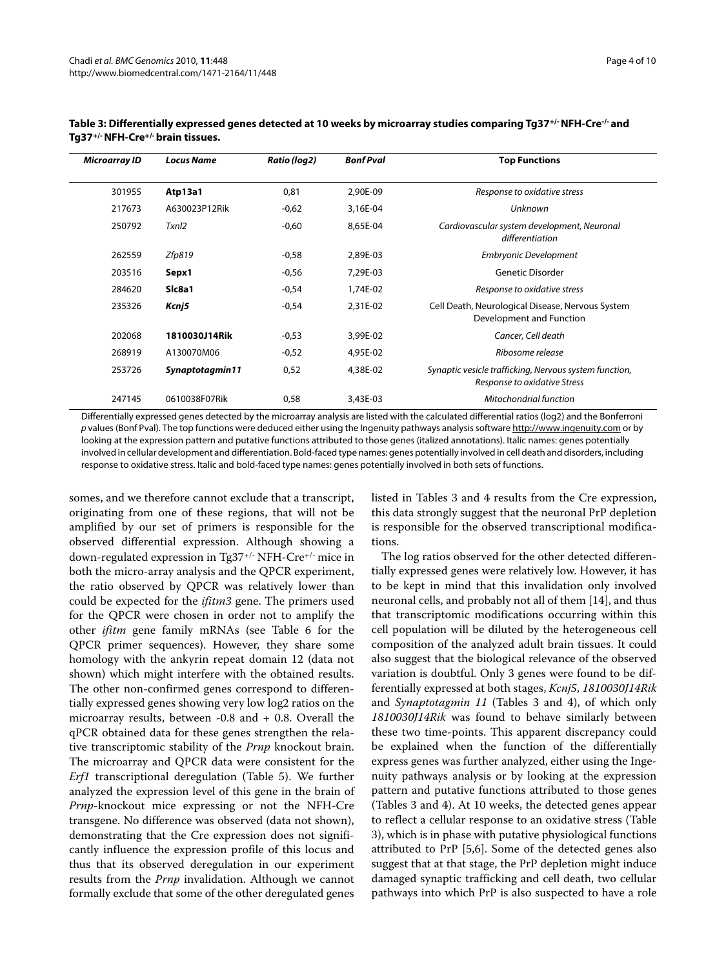| <b>Microarray ID</b> | <b>Locus Name</b> | Ratio (log2) | <b>Bonf Pval</b> | <b>Top Functions</b>                                                                   |
|----------------------|-------------------|--------------|------------------|----------------------------------------------------------------------------------------|
| 301955               | Atp13a1           | 0,81         | 2.90E-09         | Response to oxidative stress                                                           |
| 217673               | A630023P12Rik     | $-0,62$      | 3,16E-04         | Unknown                                                                                |
| 250792               | Txnl2             | $-0,60$      | 8,65E-04         | Cardiovascular system development, Neuronal<br>differentiation                         |
| 262559               | Zfp819            | $-0,58$      | 2,89E-03         | <b>Embryonic Development</b>                                                           |
| 203516               | Sepx1             | $-0,56$      | 7,29E-03         | Genetic Disorder                                                                       |
| 284620               | Sic8a1            | $-0,54$      | 1.74E-02         | Response to oxidative stress                                                           |
| 235326               | Kcnj5             | $-0,54$      | 2,31E-02         | Cell Death, Neurological Disease, Nervous System<br>Development and Function           |
| 202068               | 1810030J14Rik     | $-0,53$      | 3,99E-02         | Cancer, Cell death                                                                     |
| 268919               | A130070M06        | $-0,52$      | 4,95E-02         | Ribosome release                                                                       |
| 253726               | Synaptotagmin11   | 0,52         | 4,38E-02         | Synaptic vesicle trafficking, Nervous system function,<br>Response to oxidative Stress |
| 247145               | 0610038F07Rik     | 0,58         | 3,43E-03         | Mitochondrial function                                                                 |

#### <span id="page-3-0"></span>**Table 3: Differentially expressed genes detected at 10 weeks by microarray studies comparing Tg37+/- NFH-Cre-/- and Tg37+/- NFH-Cre+/- brain tissues.**

Differentially expressed genes detected by the microarray analysis are listed with the calculated differential ratios (log2) and the Bonferroni p values (Bonf Pval). The top functions were deduced either using the Ingenuity pathways analysis software<http://www.ingenuity.com> or by looking at the expression pattern and putative functions attributed to those genes (italized annotations). Italic names: genes potentially involved in cellular development and differentiation. Bold-faced type names: genes potentially involved in cell death and disorders, including response to oxidative stress. Italic and bold-faced type names: genes potentially involved in both sets of functions.

somes, and we therefore cannot exclude that a transcript, originating from one of these regions, that will not be amplified by our set of primers is responsible for the observed differential expression. Although showing a down-regulated expression in Tg37+/- NFH-Cre+/- mice in both the micro-array analysis and the QPCR experiment, the ratio observed by QPCR was relatively lower than could be expected for the *ifitm3* gene. The primers used for the QPCR were chosen in order not to amplify the other ifitm gene family mRNAs (see Table [6](#page-7-0) for the QPCR primer sequences). However, they share some homology with the ankyrin repeat domain 12 (data not shown) which might interfere with the obtained results. The other non-confirmed genes correspond to differentially expressed genes showing very low log2 ratios on the microarray results, between -0.8 and + 0.8. Overall the qPCR obtained data for these genes strengthen the relative transcriptomic stability of the Prnp knockout brain. The microarray and QPCR data were consistent for the Erf1 transcriptional deregulation (Table 5). We further analyzed the expression level of this gene in the brain of Prnp-knockout mice expressing or not the NFH-Cre transgene. No difference was observed (data not shown), demonstrating that the Cre expression does not significantly influence the expression profile of this locus and thus that its observed deregulation in our experiment results from the Prnp invalidation. Although we cannot formally exclude that some of the other deregulated genes listed in Tables [3](#page-3-0) and 4 results from the Cre expression, this data strongly suggest that the neuronal PrP depletion is responsible for the observed transcriptional modifications.

The log ratios observed for the other detected differentially expressed genes were relatively low. However, it has to be kept in mind that this invalidation only involved neuronal cells, and probably not all of them [\[14\]](#page-8-12), and thus that transcriptomic modifications occurring within this cell population will be diluted by the heterogeneous cell composition of the analyzed adult brain tissues. It could also suggest that the biological relevance of the observed variation is doubtful. Only 3 genes were found to be differentially expressed at both stages, Kcnj5, 1810030J14Rik and Synaptotagmin 11 (Tables 3 and 4), of which only 1810030J14Rik was found to behave similarly between these two time-points. This apparent discrepancy could be explained when the function of the differentially express genes was further analyzed, either using the Ingenuity pathways analysis or by looking at the expression pattern and putative functions attributed to those genes (Tables 3 and 4). At 10 weeks, the detected genes appear to reflect a cellular response to an oxidative stress (Table 3), which is in phase with putative physiological functions attributed to PrP [\[5](#page-8-4)[,6](#page-8-5)]. Some of the detected genes also suggest that at that stage, the PrP depletion might induce damaged synaptic trafficking and cell death, two cellular pathways into which PrP is also suspected to have a role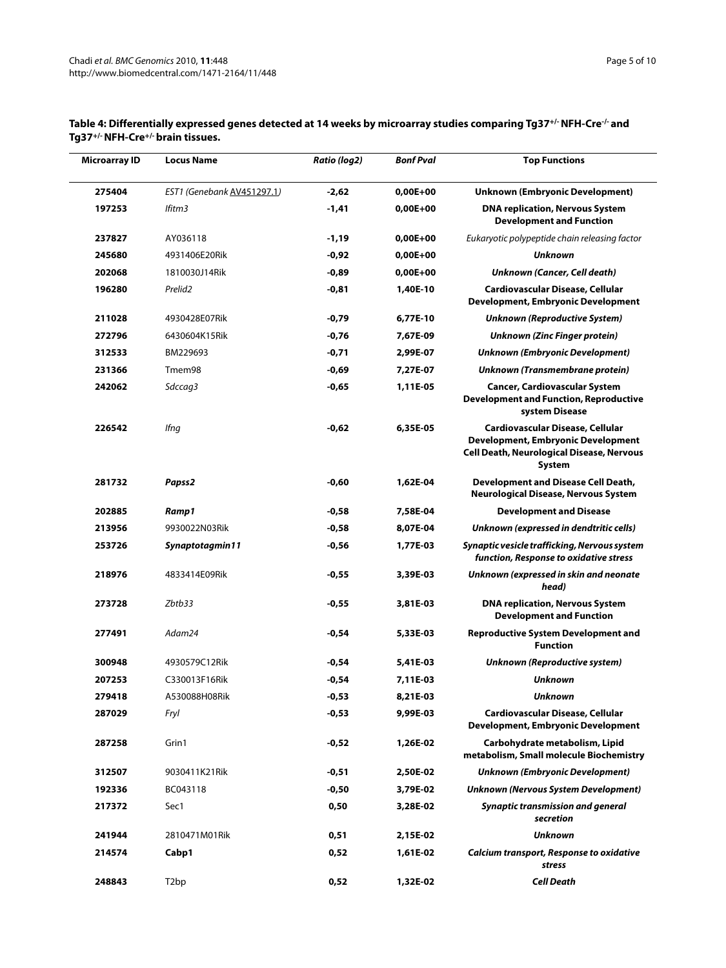| <b>Microarray ID</b> | <b>Locus Name</b>          | <b>Ratio (log2)</b> | <b>Bonf Pval</b> | <b>Top Functions</b>                                                                                                          |
|----------------------|----------------------------|---------------------|------------------|-------------------------------------------------------------------------------------------------------------------------------|
| 275404               | EST1 (Genebank AV451297.1) | $-2,62$             | 0,00E+00         | <b>Unknown (Embryonic Development)</b>                                                                                        |
| 197253               | lfitm3                     | $-1,41$             | 0,00E+00         | <b>DNA replication, Nervous System</b><br><b>Development and Function</b>                                                     |
| 237827               | AY036118                   | $-1,19$             | 0,00E+00         | Eukaryotic polypeptide chain releasing factor                                                                                 |
| 245680               | 4931406E20Rik              | $-0,92$             | 0,00E+00         | <b>Unknown</b>                                                                                                                |
| 202068               | 1810030J14Rik              | $-0,89$             | 0,00E+00         | <b>Unknown (Cancer, Cell death)</b>                                                                                           |
| 196280               | Prelid <sub>2</sub>        | $-0,81$             | 1,40E-10         | Cardiovascular Disease, Cellular<br><b>Development, Embryonic Development</b>                                                 |
| 211028               | 4930428E07Rik              | $-0,79$             | 6,77E-10         | <b>Unknown (Reproductive System)</b>                                                                                          |
| 272796               | 6430604K15Rik              | $-0,76$             | 7,67E-09         | <b>Unknown (Zinc Finger protein)</b>                                                                                          |
| 312533               | BM229693                   | $-0,71$             | 2,99E-07         | <b>Unknown (Embryonic Development)</b>                                                                                        |
| 231366               | Tmem98                     | $-0,69$             | 7,27E-07         | Unknown (Transmembrane protein)                                                                                               |
| 242062               | Sdccag3                    | $-0,65$             | 1,11E-05         | <b>Cancer, Cardiovascular System</b><br><b>Development and Function, Reproductive</b><br>system Disease                       |
| 226542               | lfng                       | $-0,62$             | 6,35E-05         | Cardiovascular Disease, Cellular<br>Development, Embryonic Development<br>Cell Death, Neurological Disease, Nervous<br>System |
| 281732               | Papss <sub>2</sub>         | $-0,60$             | 1,62E-04         | <b>Development and Disease Cell Death,</b><br><b>Neurological Disease, Nervous System</b>                                     |
| 202885               | Ramp1                      | $-0,58$             | 7,58E-04         | <b>Development and Disease</b>                                                                                                |
| 213956               | 9930022N03Rik              | $-0,58$             | 8,07E-04         | Unknown (expressed in dendtritic cells)                                                                                       |
| 253726               | Synaptotagmin11            | $-0,56$             | 1,77E-03         | Synaptic vesicle trafficking, Nervous system<br>function, Response to oxidative stress                                        |
| 218976               | 4833414E09Rik              | $-0,55$             | 3,39E-03         | Unknown (expressed in skin and neonate<br>head)                                                                               |
| 273728               | Zbtb33                     | $-0,55$             | 3,81E-03         | <b>DNA replication, Nervous System</b><br><b>Development and Function</b>                                                     |
| 277491               | Adam24                     | $-0,54$             | 5,33E-03         | <b>Reproductive System Development and</b><br><b>Function</b>                                                                 |
| 300948               | 4930579C12Rik              | $-0,54$             | 5,41E-03         | Unknown (Reproductive system)                                                                                                 |
| 207253               | C330013F16Rik              | $-0,54$             | 7,11E-03         | <b>Unknown</b>                                                                                                                |
| 279418               | A530088H08Rik              | $-0,53$             | 8,21E-03         | Unknown                                                                                                                       |
| 287029               | Fryl                       | $-0,53$             | 9,99E-03         | Cardiovascular Disease, Cellular<br><b>Development, Embryonic Development</b>                                                 |
| 287258               | Grin1                      | $-0,52$             | 1,26E-02         | Carbohydrate metabolism, Lipid<br>metabolism, Small molecule Biochemistry                                                     |
| 312507               | 9030411K21Rik              | $-0,51$             | 2,50E-02         | <b>Unknown (Embryonic Development)</b>                                                                                        |
| 192336               | BC043118                   | $-0,50$             | 3,79E-02         | <b>Unknown (Nervous System Development)</b>                                                                                   |
| 217372               | Sec1                       | 0,50                | 3,28E-02         | <b>Synaptic transmission and general</b><br>secretion                                                                         |
| 241944               | 2810471M01Rik              | 0,51                | 2,15E-02         | <b>Unknown</b>                                                                                                                |
| 214574               | Cabp1                      | 0,52                | 1,61E-02         | <b>Calcium transport, Response to oxidative</b><br>stress                                                                     |
| 248843               | T <sub>2</sub> bp          | 0,52                | 1,32E-02         | <b>Cell Death</b>                                                                                                             |

# **Table 4: Differentially expressed genes detected at 14 weeks by microarray studies comparing Tg37+/- NFH-Cre-/- and Tg37+/- NFH-Cre+/- brain tissues.**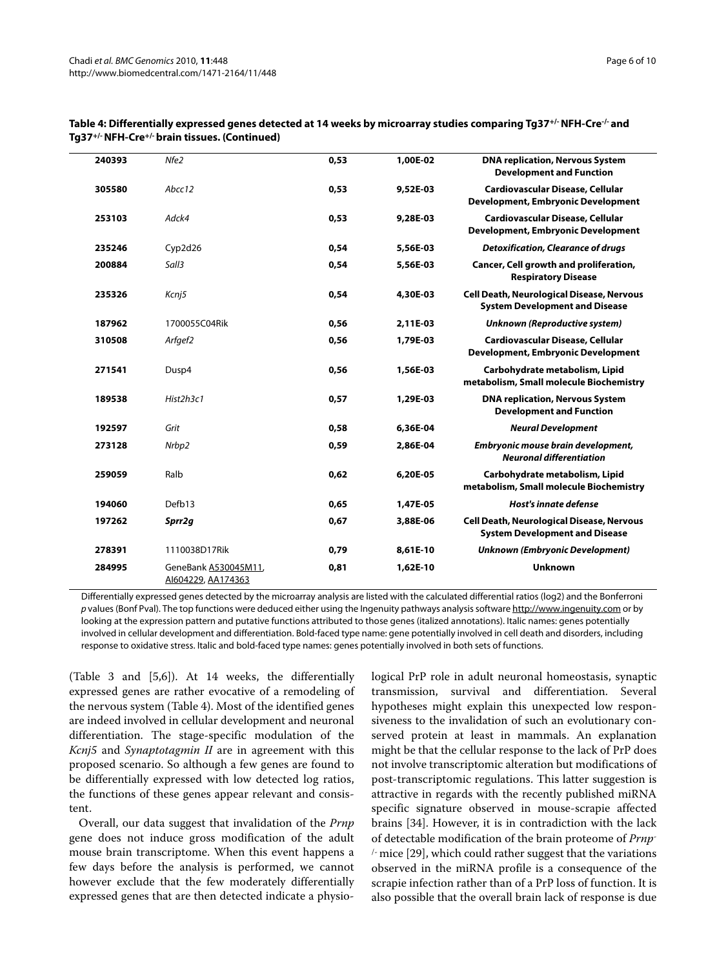| 240393 | Nfe <sub>2</sub>                           | 0,53 | 1.00E-02 | <b>DNA replication, Nervous System</b><br><b>Development and Function</b>                 |
|--------|--------------------------------------------|------|----------|-------------------------------------------------------------------------------------------|
| 305580 | Abcc12                                     | 0,53 | 9,52E-03 | Cardiovascular Disease, Cellular<br><b>Development, Embryonic Development</b>             |
| 253103 | Adck4                                      | 0,53 | 9,28E-03 | Cardiovascular Disease, Cellular<br><b>Development, Embryonic Development</b>             |
| 235246 | Cyp2d26                                    | 0,54 | 5,56E-03 | <b>Detoxification, Clearance of drugs</b>                                                 |
| 200884 | Sall3                                      | 0,54 | 5,56E-03 | Cancer, Cell growth and proliferation,<br><b>Respiratory Disease</b>                      |
| 235326 | Kcnj5                                      | 0,54 | 4,30E-03 | <b>Cell Death, Neurological Disease, Nervous</b><br><b>System Development and Disease</b> |
| 187962 | 1700055C04Rik                              | 0,56 | 2.11E-03 | Unknown (Reproductive system)                                                             |
| 310508 | Arfgef2                                    | 0,56 | 1,79E-03 | Cardiovascular Disease, Cellular<br><b>Development, Embryonic Development</b>             |
| 271541 | Dusp4                                      | 0,56 | 1,56E-03 | Carbohydrate metabolism, Lipid<br>metabolism, Small molecule Biochemistry                 |
| 189538 | Hist2h3c1                                  | 0,57 | 1,29E-03 | <b>DNA replication, Nervous System</b><br><b>Development and Function</b>                 |
| 192597 | Grit                                       | 0,58 | 6,36E-04 | <b>Neural Development</b>                                                                 |
| 273128 | Nrbp2                                      | 0,59 | 2,86E-04 | Embryonic mouse brain development,<br><b>Neuronal differentiation</b>                     |
| 259059 | Ralb                                       | 0,62 | 6,20E-05 | Carbohydrate metabolism, Lipid<br>metabolism, Small molecule Biochemistry                 |
| 194060 | Defb13                                     | 0,65 | 1,47E-05 | <b>Host's innate defense</b>                                                              |
| 197262 | Sprr2g                                     | 0,67 | 3,88E-06 | <b>Cell Death, Neurological Disease, Nervous</b><br><b>System Development and Disease</b> |
| 278391 | 1110038D17Rik                              | 0,79 | 8,61E-10 | <b>Unknown (Embryonic Development)</b>                                                    |
| 284995 | GeneBank A530045M11,<br>AI604229, AA174363 | 0,81 | 1,62E-10 | <b>Unknown</b>                                                                            |

# **Table 4: Differentially expressed genes detected at 14 weeks by microarray studies comparing Tg37+/- NFH-Cre-/- and Tg37+/- NFH-Cre+/- brain tissues. (Continued)**

Differentially expressed genes detected by the microarray analysis are listed with the calculated differential ratios (log2) and the Bonferroni p values (Bonf Pval). The top functions were deduced either using the Ingenuity pathways analysis software<http://www.ingenuity.com> or by looking at the expression pattern and putative functions attributed to those genes (italized annotations). Italic names: genes potentially involved in cellular development and differentiation. Bold-faced type name: gene potentially involved in cell death and disorders, including response to oxidative stress. Italic and bold-faced type names: genes potentially involved in both sets of functions.

(Table 3 and [\[5](#page-8-4)[,6](#page-8-5)]). At 14 weeks, the differentially expressed genes are rather evocative of a remodeling of the nervous system (Table 4). Most of the identified genes are indeed involved in cellular development and neuronal differentiation. The stage-specific modulation of the Kcnj5 and Synaptotagmin II are in agreement with this proposed scenario. So although a few genes are found to be differentially expressed with low detected log ratios, the functions of these genes appear relevant and consistent.

Overall, our data suggest that invalidation of the Prnp gene does not induce gross modification of the adult mouse brain transcriptome. When this event happens a few days before the analysis is performed, we cannot however exclude that the few moderately differentially expressed genes that are then detected indicate a physiological PrP role in adult neuronal homeostasis, synaptic transmission, survival and differentiation. Several hypotheses might explain this unexpected low responsiveness to the invalidation of such an evolutionary conserved protein at least in mammals. An explanation might be that the cellular response to the lack of PrP does not involve transcriptomic alteration but modifications of post-transcriptomic regulations. This latter suggestion is attractive in regards with the recently published miRNA specific signature observed in mouse-scrapie affected brains [\[34](#page-9-5)]. However, it is in contradiction with the lack of detectable modification of the brain proteome of Prnp-  $\ell$ - mice [\[29](#page-9-0)], which could rather suggest that the variations observed in the miRNA profile is a consequence of the scrapie infection rather than of a PrP loss of function. It is also possible that the overall brain lack of response is due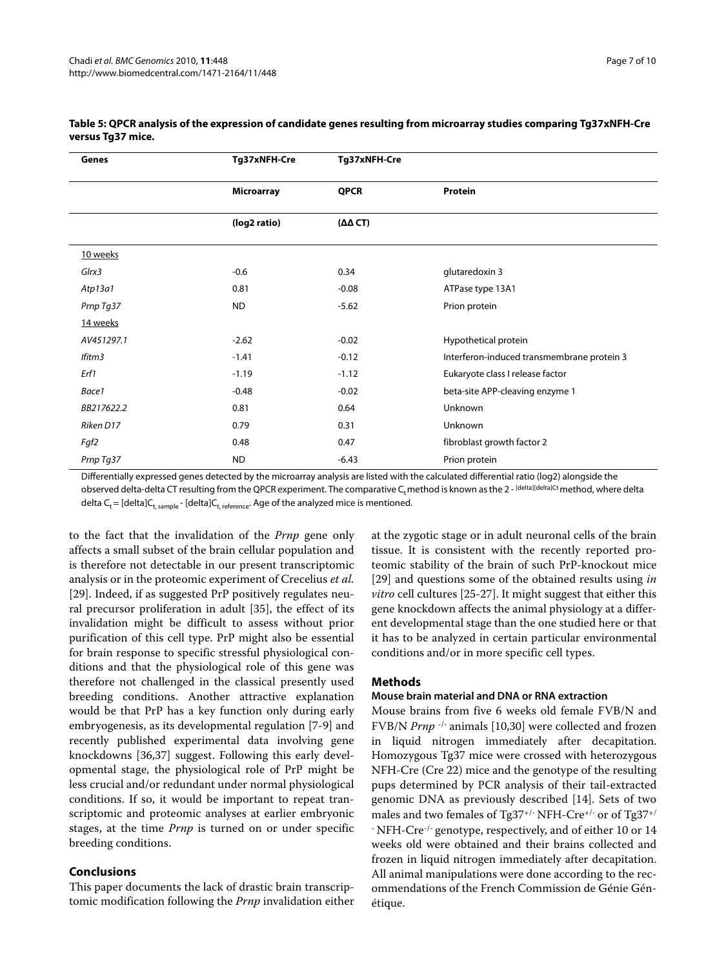| Genes      | Tg37xNFH-Cre      | Tg37xNFH-Cre         |                                            |  |  |
|------------|-------------------|----------------------|--------------------------------------------|--|--|
|            | <b>Microarray</b> | <b>QPCR</b>          | Protein                                    |  |  |
|            | (log2 ratio)      | $(\Delta \Delta$ CT) |                                            |  |  |
| 10 weeks   |                   |                      |                                            |  |  |
| Glrx3      | $-0.6$            | 0.34                 | glutaredoxin 3                             |  |  |
| Atp13a1    | 0.81              | $-0.08$              | ATPase type 13A1                           |  |  |
| Prnp Tg37  | ND                | $-5.62$              | Prion protein                              |  |  |
| 14 weeks   |                   |                      |                                            |  |  |
| AV451297.1 | $-2.62$           | $-0.02$              | Hypothetical protein                       |  |  |
| Ifitm3     | $-1.41$           | $-0.12$              | Interferon-induced transmembrane protein 3 |  |  |
| Erf1       | $-1.19$           | $-1.12$              | Eukaryote class I release factor           |  |  |
| Bace1      | $-0.48$           | $-0.02$              | beta-site APP-cleaving enzyme 1            |  |  |
| BB217622.2 | 0.81              | 0.64                 | Unknown                                    |  |  |
| Riken D17  | 0.79              | 0.31                 | Unknown                                    |  |  |
| Fgf2       | 0.48              | 0.47                 | fibroblast growth factor 2                 |  |  |
| Prnp Tg37  | ND                | $-6.43$              | Prion protein                              |  |  |

## **Table 5: QPCR analysis of the expression of candidate genes resulting from microarray studies comparing Tg37xNFH-Cre versus Tg37 mice.**

Differentially expressed genes detected by the microarray analysis are listed with the calculated differential ratio (log2) alongside the observed delta-delta CT resulting from the QPCR experiment. The comparative C<sub>t</sub> method is known as the 2 - <sup>[delta][delta]Ct method, where delta</sup> delta  $C_t = [delta]C_{t, sample}$  - [delta] $C_{t, reference}$ . Age of the analyzed mice is mentioned.

to the fact that the invalidation of the Prnp gene only affects a small subset of the brain cellular population and is therefore not detectable in our present transcriptomic analysis or in the proteomic experiment of Crecelius et al. [[29\]](#page-9-0). Indeed, if as suggested PrP positively regulates neural precursor proliferation in adult [[35\]](#page-9-6), the effect of its invalidation might be difficult to assess without prior purification of this cell type. PrP might also be essential for brain response to specific stressful physiological conditions and that the physiological role of this gene was therefore not challenged in the classical presently used breeding conditions. Another attractive explanation would be that PrP has a key function only during early embryogenesis, as its developmental regulation [\[7](#page-8-6)-[9\]](#page-8-7) and recently published experimental data involving gene knockdowns [[36,](#page-9-7)[37\]](#page-9-8) suggest. Following this early developmental stage, the physiological role of PrP might be less crucial and/or redundant under normal physiological conditions. If so, it would be important to repeat transcriptomic and proteomic analyses at earlier embryonic stages, at the time Prnp is turned on or under specific breeding conditions.

#### **Conclusions**

This paper documents the lack of drastic brain transcriptomic modification following the Prnp invalidation either at the zygotic stage or in adult neuronal cells of the brain tissue. It is consistent with the recently reported proteomic stability of the brain of such PrP-knockout mice [[29\]](#page-9-0) and questions some of the obtained results using in vitro cell cultures [\[25](#page-8-17)-[27\]](#page-8-18). It might suggest that either this gene knockdown affects the animal physiology at a different developmental stage than the one studied here or that it has to be analyzed in certain particular environmental conditions and/or in more specific cell types.

# **Methods**

#### **Mouse brain material and DNA or RNA extraction**

Mouse brains from five 6 weeks old female FVB/N and FVB/N Prnp -/- animals [[10,](#page-8-8)[30\]](#page-9-1) were collected and frozen in liquid nitrogen immediately after decapitation. Homozygous Tg37 mice were crossed with heterozygous NFH-Cre (Cre 22) mice and the genotype of the resulting pups determined by PCR analysis of their tail-extracted genomic DNA as previously described [[14](#page-8-12)]. Sets of two males and two females of Tg37+/- NFH-Cre+/- or of Tg37+/ - NFH-Cre-/- genotype, respectively, and of either 10 or 14 weeks old were obtained and their brains collected and frozen in liquid nitrogen immediately after decapitation. All animal manipulations were done according to the recommendations of the French Commission de Génie Génétique.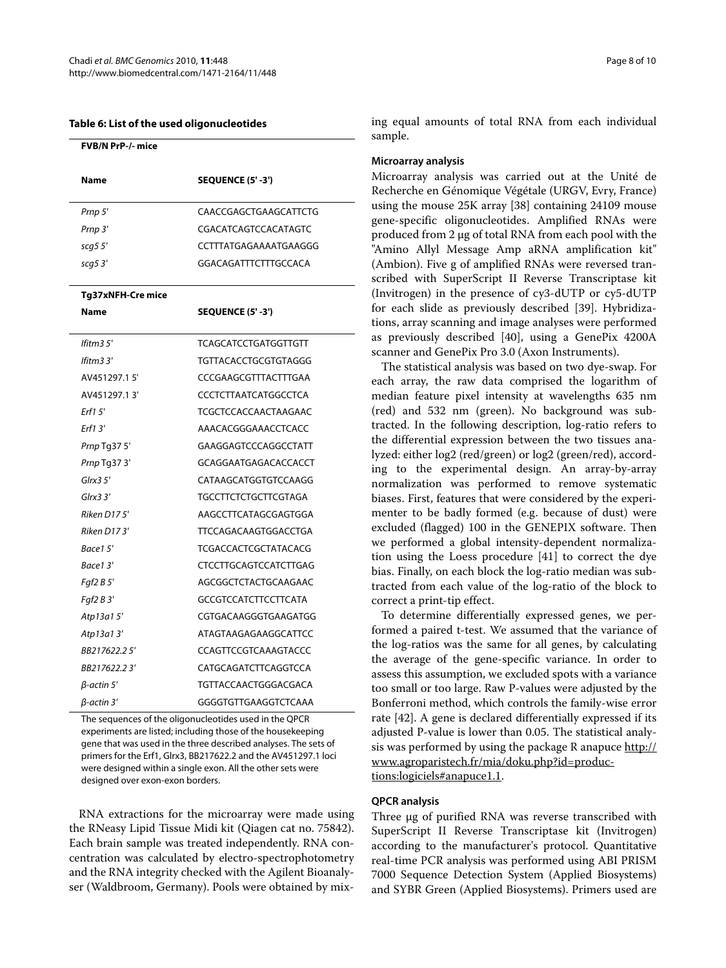#### <span id="page-7-0"></span>**Table 6: List of the used oligonucleotides**

| <b>FVB/N PrP-/- mice</b> |                              |
|--------------------------|------------------------------|
| <b>Name</b>              | SEQUENCE (5'-3')             |
| Prnp 5'                  | <b>CAACCGAGCTGAAGCATTCTG</b> |
| Prnp 3'                  | <b>CGACATCAGTCCACATAGTC</b>  |
| sca5 5'                  | CCTTTATGAGAAAATGAAGGG        |
| sca5 $3'$                | GGACAGATTICTITGCCACA         |
| Tg37xNFH-Cre mice        |                              |
| Name                     | <b>SEOUENCE (5'-3')</b>      |

| <b>TCAGCATCCTGATGGTTGTT</b>  |
|------------------------------|
| TGTTACACCTGCGTGTAGGG         |
| CCCGAAGCGTTTACTTTGAA         |
| CCCTCTTAATCATGGCCTCA         |
| <b>TCGCTCCACCAACTAAGAAC</b>  |
| AAACACGGGAAACCTCACC          |
| GAAGGAGTCCCAGGCCTATT         |
| GCAGGAATGAGACACCACCT         |
| CATAAGCATGGTGTCCAAGG         |
| <b>TGCCTTCTCTGCTTCGTAGA</b>  |
| AAGCCTTCATAGCGAGTGGA         |
| <b>TTCCAGACAAGTGGACCTGA</b>  |
| <b>TCGACCACTCGCTATACACG</b>  |
| <b>CTCCTTGCAGTCCATCTTGAG</b> |
| AGCGGCTCTACTGCAAGAAC         |
| <b>GCCGTCCATCTTCCTTCATA</b>  |
| CGTGACAAGGGTGAAGATGG         |
| <b>ATAGTAAGAGAAGGCATTCC</b>  |
| CCAGTTCCGTCAAAGTACCC         |
| CATGCAGATCTTCAGGTCCA         |
| TGTTACCAACTGGGACGACA         |
| GGGGTGTTGAAGGTCTCAAA         |
|                              |

The sequences of the oligonucleotides used in the QPCR experiments are listed; including those of the housekeeping gene that was used in the three described analyses. The sets of primers for the Erf1, Glrx3, BB217622.2 and the AV451297.1 loci were designed within a single exon. All the other sets were designed over exon-exon borders.

RNA extractions for the microarray were made using the RNeasy Lipid Tissue Midi kit (Qiagen cat no. 75842). Each brain sample was treated independently. RNA concentration was calculated by electro-spectrophotometry and the RNA integrity checked with the Agilent Bioanalyser (Waldbroom, Germany). Pools were obtained by mixing equal amounts of total RNA from each individual sample.

#### **Microarray analysis**

Microarray analysis was carried out at the Unité de Recherche en Génomique Végétale (URGV, Evry, France) using the mouse 25K array [[38\]](#page-9-9) containing 24109 mouse gene-specific oligonucleotides. Amplified RNAs were produced from 2 μg of total RNA from each pool with the "Amino Allyl Message Amp aRNA amplification kit" (Ambion). Five g of amplified RNAs were reversed transcribed with SuperScript II Reverse Transcriptase kit (Invitrogen) in the presence of cy3-dUTP or cy5-dUTP for each slide as previously described [[39](#page-9-10)]. Hybridizations, array scanning and image analyses were performed as previously described [\[40\]](#page-9-11), using a GenePix 4200A scanner and GenePix Pro 3.0 (Axon Instruments).

The statistical analysis was based on two dye-swap. For each array, the raw data comprised the logarithm of median feature pixel intensity at wavelengths 635 nm (red) and 532 nm (green). No background was subtracted. In the following description, log-ratio refers to the differential expression between the two tissues analyzed: either log2 (red/green) or log2 (green/red), according to the experimental design. An array-by-array normalization was performed to remove systematic biases. First, features that were considered by the experimenter to be badly formed (e.g. because of dust) were excluded (flagged) 100 in the GENEPIX software. Then we performed a global intensity-dependent normalization using the Loess procedure [\[41](#page-9-12)] to correct the dye bias. Finally, on each block the log-ratio median was subtracted from each value of the log-ratio of the block to correct a print-tip effect.

To determine differentially expressed genes, we performed a paired t-test. We assumed that the variance of the log-ratios was the same for all genes, by calculating the average of the gene-specific variance. In order to assess this assumption, we excluded spots with a variance too small or too large. Raw P-values were adjusted by the Bonferroni method, which controls the family-wise error rate [\[42](#page-9-13)]. A gene is declared differentially expressed if its adjusted P-value is lower than 0.05. The statistical analysis was performed by using the package R anapuce [http://](http://www.agroparistech.fr/mia/doku.php?id=productions:logiciels#anapuce1.1) [www.agroparistech.fr/mia/doku.php?id=produc](http://www.agroparistech.fr/mia/doku.php?id=productions:logiciels#anapuce1.1)[tions:logiciels#anapuce1.1](http://www.agroparistech.fr/mia/doku.php?id=productions:logiciels#anapuce1.1).

#### **QPCR analysis**

Three μg of purified RNA was reverse transcribed with SuperScript II Reverse Transcriptase kit (Invitrogen) according to the manufacturer's protocol. Quantitative real-time PCR analysis was performed using ABI PRISM 7000 Sequence Detection System (Applied Biosystems) and SYBR Green (Applied Biosystems). Primers used are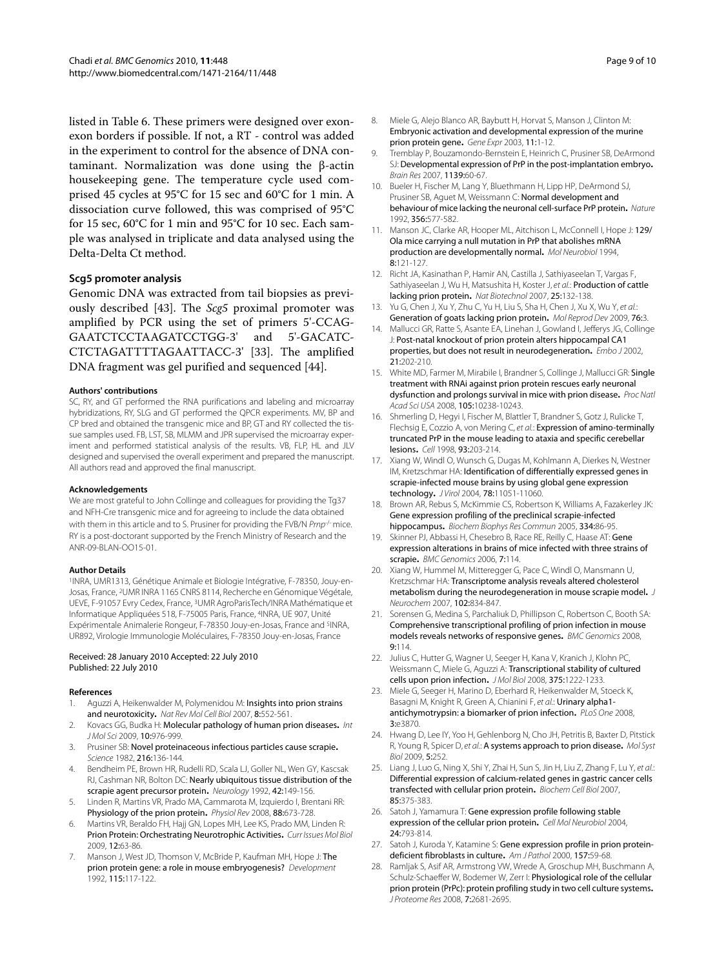listed in Table 6. These primers were designed over exonexon borders if possible. If not, a RT - control was added in the experiment to control for the absence of DNA contaminant. Normalization was done using the β-actin housekeeping gene. The temperature cycle used comprised 45 cycles at 95°C for 15 sec and 60°C for 1 min. A dissociation curve followed, this was comprised of 95°C for 15 sec, 60°C for 1 min and 95°C for 10 sec. Each sample was analysed in triplicate and data analysed using the Delta-Delta Ct method.

#### **Scg5 promoter analysis**

Genomic DNA was extracted from tail biopsies as previously described [\[43](#page-9-14)]. The Scg5 proximal promoter was amplified by PCR using the set of primers 5'-CCAG-GAATCTCCTAAGATCCTGG-3' and 5'-GACATC-CTCTAGATTTTAGAATTACC-3' [[33\]](#page-9-4). The amplified DNA fragment was gel purified and sequenced [[44\]](#page-9-15).

#### **Authors' contributions**

SC, RY, and GT performed the RNA purifications and labeling and microarray hybridizations, RY, SLG and GT performed the QPCR experiments. MV, BP and CP bred and obtained the transgenic mice and BP, GT and RY collected the tissue samples used. FB, LST, SB, MLMM and JPR supervised the microarray experiment and performed statistical analysis of the results. VB, FLP, HL and JLV designed and supervised the overall experiment and prepared the manuscript. All authors read and approved the final manuscript.

#### **Acknowledgements**

We are most grateful to John Collinge and colleagues for providing the Tg37 and NFH-Cre transgenic mice and for agreeing to include the data obtained with them in this article and to S. Prusiner for providing the FVB/N Prnp<sup>-/-</sup> mice. RY is a post-doctorant supported by the French Ministry of Research and the ANR-09-BLAN-OO15-01.

#### **Author Details**

1INRA, UMR1313, Génétique Animale et Biologie Intégrative, F-78350, Jouy-en-Josas, France, 2UMR INRA 1165 CNRS 8114, Recherche en Génomique Végétale, UEVE, F-91057 Evry Cedex, France, 3UMR AgroParisTech/INRA Mathématique et Informatique Appliquées 518, F-75005 Paris, France, 4INRA, UE 907, Unité Expérimentale Animalerie Rongeur, F-78350 Jouy-en-Josas, France and 5INRA, UR892, Virologie Immunologie Moléculaires, F-78350 Jouy-en-Josas, France

#### Received: 28 January 2010 Accepted: 22 July 2010 Published: 22 July 2010

#### **References**

- <span id="page-8-0"></span>1. Aguzzi A, Heikenwalder M, Polymenidou M: Insights into prion strains and neurotoxicity**.** Nat Rev Mol Cell Biol 2007, 8:552-561.
- <span id="page-8-1"></span>2. Kovacs GG, Budka H: Molecular pathology of human prion diseases**[.](http://www.ncbi.nlm.nih.gov/entrez/query.fcgi?cmd=Retrieve&db=PubMed&dopt=Abstract&list_uids=19399233)** Int J Mol Sci 2009, 10:976-999.
- <span id="page-8-2"></span>3. Prusiner SB: Novel proteinaceous infectious particles cause scrapie**[.](http://www.ncbi.nlm.nih.gov/entrez/query.fcgi?cmd=Retrieve&db=PubMed&dopt=Abstract&list_uids=6801762)** Science 1982, 216:136-144.
- <span id="page-8-3"></span>4. Bendheim PE, Brown HR, Rudelli RD, Scala LJ, Goller NL, Wen GY, Kascsak RJ, Cashman NR, Bolton DC: Nearly ubiquitous tissue distribution of the scrapie agent precursor protein**[.](http://www.ncbi.nlm.nih.gov/entrez/query.fcgi?cmd=Retrieve&db=PubMed&dopt=Abstract&list_uids=1346470)** Neurology 1992, 42:149-156.
- <span id="page-8-4"></span>5. Linden R, Martins VR, Prado MA, Cammarota M, Izquierdo I, Brentani RR: Physiology of the prion protein**.** Physiol Rev 2008, 88:673-728.
- <span id="page-8-5"></span>6. Martins VR, Beraldo FH, Hajj GN, Lopes MH, Lee KS, Prado MM, Linden R: Prion Protein: Orchestrating Neurotrophic Activities**.** Curr Issues Mol Biol 2009, 12:63-86.
- <span id="page-8-6"></span>7. Manson J, West JD, Thomson V, McBride P, Kaufman MH, Hope J: The prion protein gene: a role in mouse embryogenesis? Development 1992, 115:117-122.
- 8. Miele G, Alejo Blanco AR, Baybutt H, Horvat S, Manson J, Clinton M: Embryonic activation and developmental expression of the murine prion protein gene**[.](http://www.ncbi.nlm.nih.gov/entrez/query.fcgi?cmd=Retrieve&db=PubMed&dopt=Abstract&list_uids=12691521)** Gene Expr 2003, 11:1-12.
- <span id="page-8-7"></span>9. Tremblay P, Bouzamondo-Bernstein E, Heinrich C, Prusiner SB, DeArmond SJ: Developmental expression of PrP in the post-implantation embryo**.** Brain Res 2007, 1139:60-67.
- <span id="page-8-8"></span>10. Bueler H, Fischer M, Lang Y, Bluethmann H, Lipp HP, DeArmond SJ, Prusiner SB, Aguet M, Weissmann C: Normal development and behaviour of mice lacking the neuronal cell-surface PrP protein**.** Nature 1992, 356:577-582.
- <span id="page-8-9"></span>11. Manson JC, Clarke AR, Hooper ML, Aitchison L, McConnell I, Hope J: 129/ Ola mice carrying a null mutation in PrP that abolishes mRNA production are developmentally normal**[.](http://www.ncbi.nlm.nih.gov/entrez/query.fcgi?cmd=Retrieve&db=PubMed&dopt=Abstract&list_uids=7999308)** Mol Neurobiol 1994, 8:121-127.
- <span id="page-8-10"></span>12. Richt JA, Kasinathan P, Hamir AN, Castilla J, Sathiyaseelan T, Vargas F, Sathiyaseelan J, Wu H, Matsushita H, Koster J, et al.: Production of cattle lacking prion protein**.** Nat Biotechnol 2007, 25:132-138.
- <span id="page-8-11"></span>13. Yu G, Chen J, Xu Y, Zhu C, Yu H, Liu S, Sha H, Chen J, Xu X, Wu Y, et al.: Generation of goats lacking prion protein**[.](http://www.ncbi.nlm.nih.gov/entrez/query.fcgi?cmd=Retrieve&db=PubMed&dopt=Abstract&list_uids=18951376)** Mol Reprod Dev 2009, 76:3.
- <span id="page-8-12"></span>14. Mallucci GR, Ratte S, Asante EA, Linehan J, Gowland I, Jefferys JG, Collinge J: Post-natal knockout of prion protein alters hippocampal CA1 properties, but does not result in neurodegeneration**.** Embo J 2002, 21:202-210.
- <span id="page-8-13"></span>15. White MD, Farmer M, Mirabile I, Brandner S, Collinge J, Mallucci GR: Single treatment with RNAi against prion protein rescues early neuronal dysfunction and prolongs survival in mice with prion disease**.** Proc Natl Acad Sci USA 2008, 105:10238-10243.
- <span id="page-8-14"></span>16. Shmerling D, Hegyi I, Fischer M, Blattler T, Brandner S, Gotz J, Rulicke T, Flechsig E, Cozzio A, von Mering C, et al.: Expression of amino-terminally truncated PrP in the mouse leading to ataxia and specific cerebellar lesions**.** Cell 1998, 93:203-214.
- <span id="page-8-15"></span>17. Xiang W, Windl O, Wunsch G, Dugas M, Kohlmann A, Dierkes N, Westner IM, Kretzschmar HA: Identification of differentially expressed genes in scrapie-infected mouse brains by using global gene expression technology**[.](http://www.ncbi.nlm.nih.gov/entrez/query.fcgi?cmd=Retrieve&db=PubMed&dopt=Abstract&list_uids=15452225)** J Virol 2004, 78:11051-11060.
- 18. Brown AR, Rebus S, McKimmie CS, Robertson K, Williams A, Fazakerley JK: Gene expression profiling of the preclinical scrapie-infected hippocampus**.** Biochem Biophys Res Commun 2005, 334:86-95.
- 19. Skinner PJ, Abbassi H, Chesebro B, Race RE, Reilly C, Haase AT: Gene expression alterations in brains of mice infected with three strains of scrapie**.** BMC Genomics 2006, 7:114.
- 20. Xiang W, Hummel M, Mitteregger G, Pace C, Windl O, Mansmann U, Kretzschmar HA: Transcriptome analysis reveals altered cholesterol metabolism during the neurodegeneration in mouse scrapie model**.** J Neurochem 2007, 102:834-847.
- 21. Sorensen G, Medina S, Parchaliuk D, Phillipson C, Robertson C, Booth SA: Comprehensive transcriptional profiling of prion infection in mouse models reveals networks of responsive genes**.** BMC Genomics 2008, 9:114.
- 22. Julius C, Hutter G, Wagner U, Seeger H, Kana V, Kranich J, Klohn PC, Weissmann C, Miele G, Aguzzi A: Transcriptional stability of cultured cells upon prion infection**.** J Mol Biol 2008, 375:1222-1233.
- 23. Miele G, Seeger H, Marino D, Eberhard R, Heikenwalder M, Stoeck K, Basagni M, Knight R, Green A, Chianini F, et al.: Urinary alpha1antichymotrypsin: a biomarker of prion infection**.** PLoS One 2008, 3:e3870.
- <span id="page-8-16"></span>24. Hwang D, Lee IY, Yoo H, Gehlenborg N, Cho JH, Petritis B, Baxter D, Pitstick R, Young R, Spicer D, et al.: A systems approach to prion disease**.** Mol Syst Biol 2009, 5:252.
- <span id="page-8-17"></span>25. Liang J, Luo G, Ning X, Shi Y, Zhai H, Sun S, Jin H, Liu Z, Zhang F, Lu Y, et al.: Differential expression of calcium-related genes in gastric cancer cells transfected with cellular prion protein**.** Biochem Cell Biol 2007, 85:375-383.
- 26. Satoh J, Yamamura T: Gene expression profile following stable expression of the cellular prion protein**.** Cell Mol Neurobiol 2004, 24:793-814.
- <span id="page-8-18"></span>27. Satoh J, Kuroda Y, Katamine S: Gene expression profile in prion proteindeficient fibroblasts in cultur[e](http://www.ncbi.nlm.nih.gov/entrez/query.fcgi?cmd=Retrieve&db=PubMed&dopt=Abstract&list_uids=10880376)**.** Am J Pathol 2000, 157:59-68.
- <span id="page-8-19"></span>28. Ramljak S, Asif AR, Armstrong VW, Wrede A, Groschup MH, Buschmann A, Schulz-Schaeffer W, Bodemer W, Zerr I: Physiological role of the cellular prion protein (PrPc): protein profiling study in two cell culture systems**.** J Proteome Res 2008, 7:2681-2695.